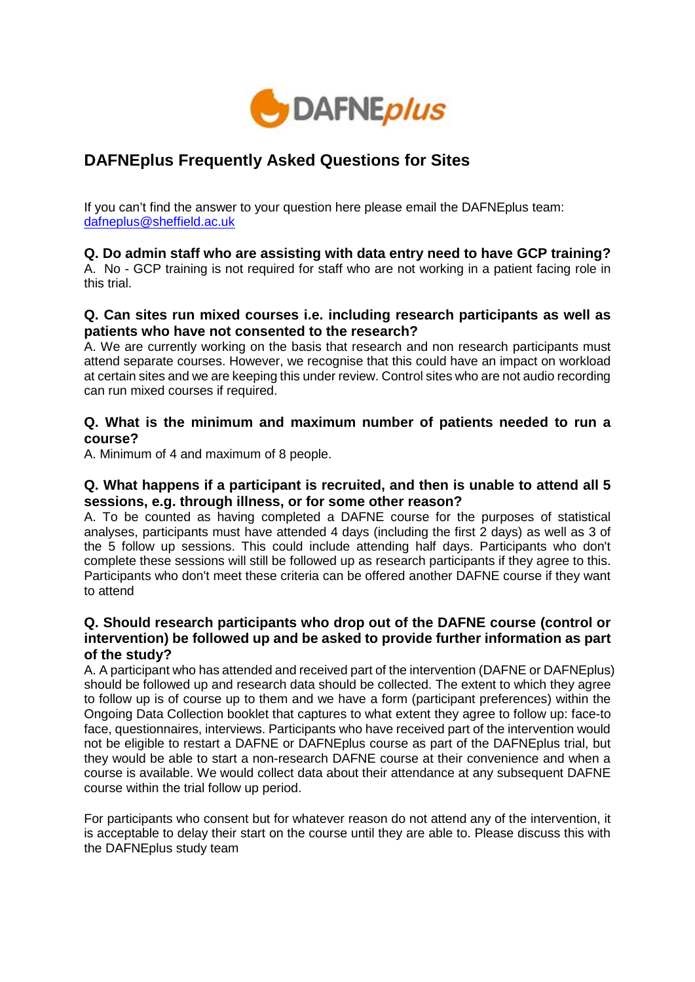

# **DAFNEplus Frequently Asked Questions for Sites**

If you can't find the answer to your question here please email the DAFNEplus team: dafneplus@sheffield.ac.uk

## **Q. Do admin staff who are assisting with data entry need to have GCP training?**

A. No - GCP training is not required for staff who are not working in a patient facing role in this trial.

## **Q. Can sites run mixed courses i.e. including research participants as well as patients who have not consented to the research?**

A. We are currently working on the basis that research and non research participants must attend separate courses. However, we recognise that this could have an impact on workload at certain sites and we are keeping this under review. Control sites who are not audio recording can run mixed courses if required.

## **Q. What is the minimum and maximum number of patients needed to run a course?**

A. Minimum of 4 and maximum of 8 people.

## **Q. What happens if a participant is recruited, and then is unable to attend all 5 sessions, e.g. through illness, or for some other reason?**

A. To be counted as having completed a DAFNE course for the purposes of statistical analyses, participants must have attended 4 days (including the first 2 days) as well as 3 of the 5 follow up sessions. This could include attending half days. Participants who don't complete these sessions will still be followed up as research participants if they agree to this. Participants who don't meet these criteria can be offered another DAFNE course if they want to attend

## **Q. Should research participants who drop out of the DAFNE course (control or intervention) be followed up and be asked to provide further information as part of the study?**

A. A participant who has attended and received part of the intervention (DAFNE or DAFNEplus) should be followed up and research data should be collected. The extent to which they agree to follow up is of course up to them and we have a form (participant preferences) within the Ongoing Data Collection booklet that captures to what extent they agree to follow up: face-to face, questionnaires, interviews. Participants who have received part of the intervention would not be eligible to restart a DAFNE or DAFNEplus course as part of the DAFNEplus trial, but they would be able to start a non-research DAFNE course at their convenience and when a course is available. We would collect data about their attendance at any subsequent DAFNE course within the trial follow up period.

For participants who consent but for whatever reason do not attend any of the intervention, it is acceptable to delay their start on the course until they are able to. Please discuss this with the DAFNEplus study team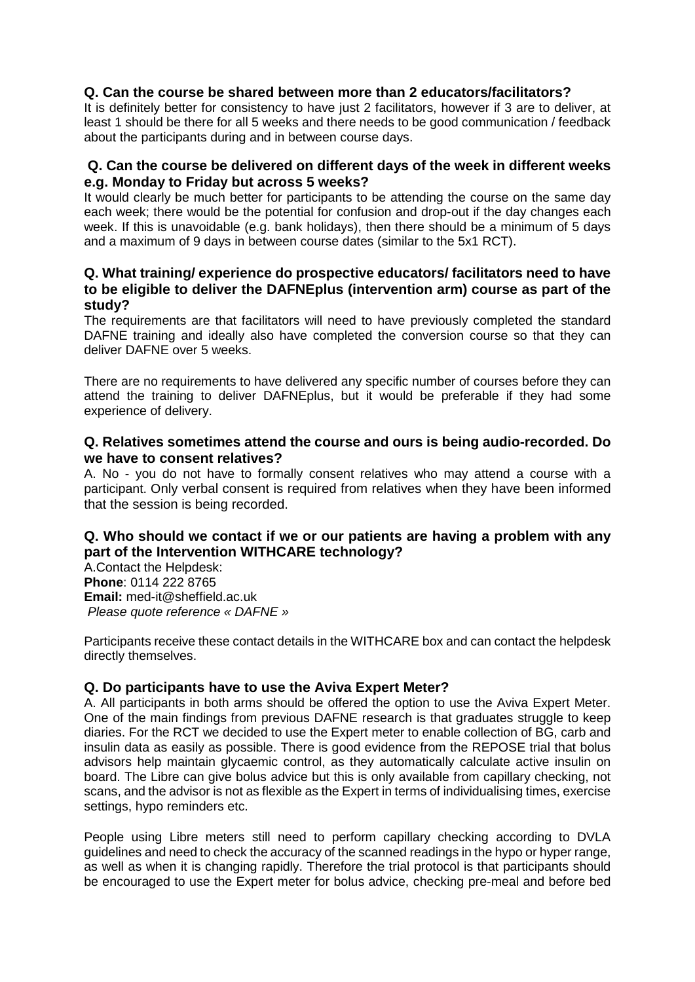## **Q. Can the course be shared between more than 2 educators/facilitators?**

It is definitely better for consistency to have just 2 facilitators, however if 3 are to deliver, at least 1 should be there for all 5 weeks and there needs to be good communication / feedback about the participants during and in between course days.

## **Q. Can the course be delivered on different days of the week in different weeks e.g. Monday to Friday but across 5 weeks?**

It would clearly be much better for participants to be attending the course on the same day each week; there would be the potential for confusion and drop-out if the day changes each week. If this is unavoidable (e.g. bank holidays), then there should be a minimum of 5 days and a maximum of 9 days in between course dates (similar to the 5x1 RCT).

#### **Q. What training/ experience do prospective educators/ facilitators need to have to be eligible to deliver the DAFNEplus (intervention arm) course as part of the study?**

The requirements are that facilitators will need to have previously completed the standard DAFNE training and ideally also have completed the conversion course so that they can deliver DAFNE over 5 weeks.

There are no requirements to have delivered any specific number of courses before they can attend the training to deliver DAFNEplus, but it would be preferable if they had some experience of delivery.

## **Q. Relatives sometimes attend the course and ours is being audio-recorded. Do we have to consent relatives?**

A. No - you do not have to formally consent relatives who may attend a course with a participant. Only verbal consent is required from relatives when they have been informed that the session is being recorded.

## **Q. Who should we contact if we or our patients are having a problem with any part of the Intervention WITHCARE technology?**

A.Contact the Helpdesk: **Phone**: 0114 222 8765 **Email:** med-it@sheffield.ac.uk *Please quote reference « DAFNE »*

Participants receive these contact details in the WITHCARE box and can contact the helpdesk directly themselves.

## **Q. Do participants have to use the Aviva Expert Meter?**

A. All participants in both arms should be offered the option to use the Aviva Expert Meter. One of the main findings from previous DAFNE research is that graduates struggle to keep diaries. For the RCT we decided to use the Expert meter to enable collection of BG, carb and insulin data as easily as possible. There is good evidence from the REPOSE trial that bolus advisors help maintain glycaemic control, as they automatically calculate active insulin on board. The Libre can give bolus advice but this is only available from capillary checking, not scans, and the advisor is not as flexible as the Expert in terms of individualising times, exercise settings, hypo reminders etc.

People using Libre meters still need to perform capillary checking according to DVLA guidelines and need to check the accuracy of the scanned readings in the hypo or hyper range, as well as when it is changing rapidly. Therefore the trial protocol is that participants should be encouraged to use the Expert meter for bolus advice, checking pre-meal and before bed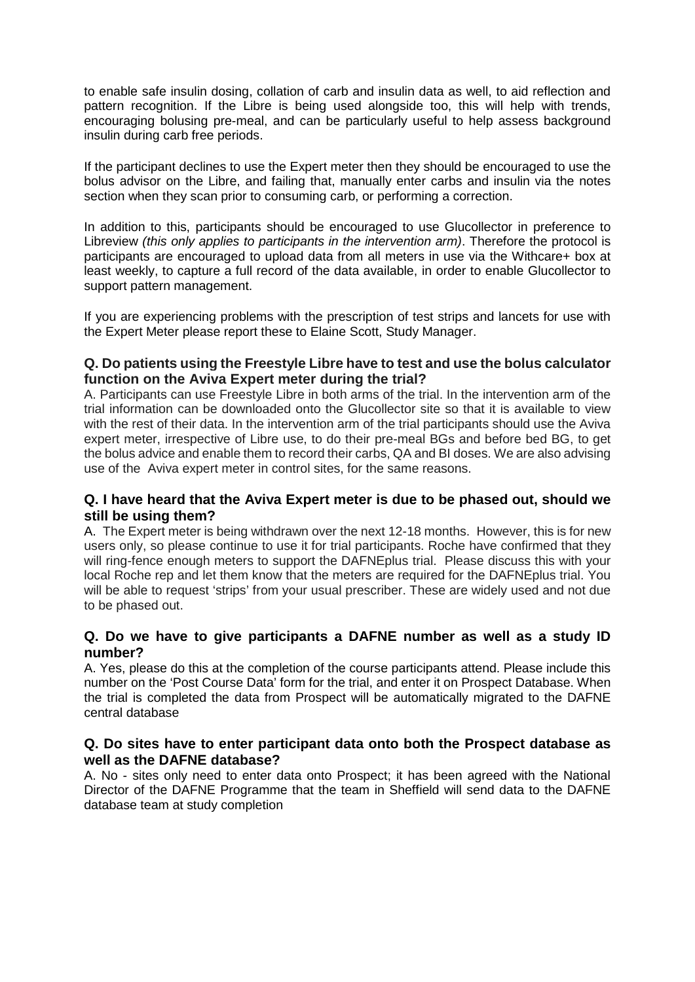to enable safe insulin dosing, collation of carb and insulin data as well, to aid reflection and pattern recognition. If the Libre is being used alongside too, this will help with trends, encouraging bolusing pre-meal, and can be particularly useful to help assess background insulin during carb free periods.

If the participant declines to use the Expert meter then they should be encouraged to use the bolus advisor on the Libre, and failing that, manually enter carbs and insulin via the notes section when they scan prior to consuming carb, or performing a correction.

In addition to this, participants should be encouraged to use Glucollector in preference to Libreview *(this only applies to participants in the intervention arm)*. Therefore the protocol is participants are encouraged to upload data from all meters in use via the Withcare+ box at least weekly, to capture a full record of the data available, in order to enable Glucollector to support pattern management.

If you are experiencing problems with the prescription of test strips and lancets for use with the Expert Meter please report these to Elaine Scott, Study Manager.

## **Q. Do patients using the Freestyle Libre have to test and use the bolus calculator function on the Aviva Expert meter during the trial?**

A. Participants can use Freestyle Libre in both arms of the trial. In the intervention arm of the trial information can be downloaded onto the Glucollector site so that it is available to view with the rest of their data. In the intervention arm of the trial participants should use the Aviva expert meter, irrespective of Libre use, to do their pre-meal BGs and before bed BG, to get the bolus advice and enable them to record their carbs, QA and BI doses. We are also advising use of the Aviva expert meter in control sites, for the same reasons.

## **Q. I have heard that the Aviva Expert meter is due to be phased out, should we still be using them?**

A. The Expert meter is being withdrawn over the next 12-18 months. However, this is for new users only, so please continue to use it for trial participants. Roche have confirmed that they will ring-fence enough meters to support the DAFNEplus trial. Please discuss this with your local Roche rep and let them know that the meters are required for the DAFNEplus trial. You will be able to request 'strips' from your usual prescriber. These are widely used and not due to be phased out.

## **Q. Do we have to give participants a DAFNE number as well as a study ID number?**

A. Yes, please do this at the completion of the course participants attend. Please include this number on the 'Post Course Data' form for the trial, and enter it on Prospect Database. When the trial is completed the data from Prospect will be automatically migrated to the DAFNE central database

## **Q. Do sites have to enter participant data onto both the Prospect database as well as the DAFNE database?**

A. No - sites only need to enter data onto Prospect; it has been agreed with the National Director of the DAFNE Programme that the team in Sheffield will send data to the DAFNE database team at study completion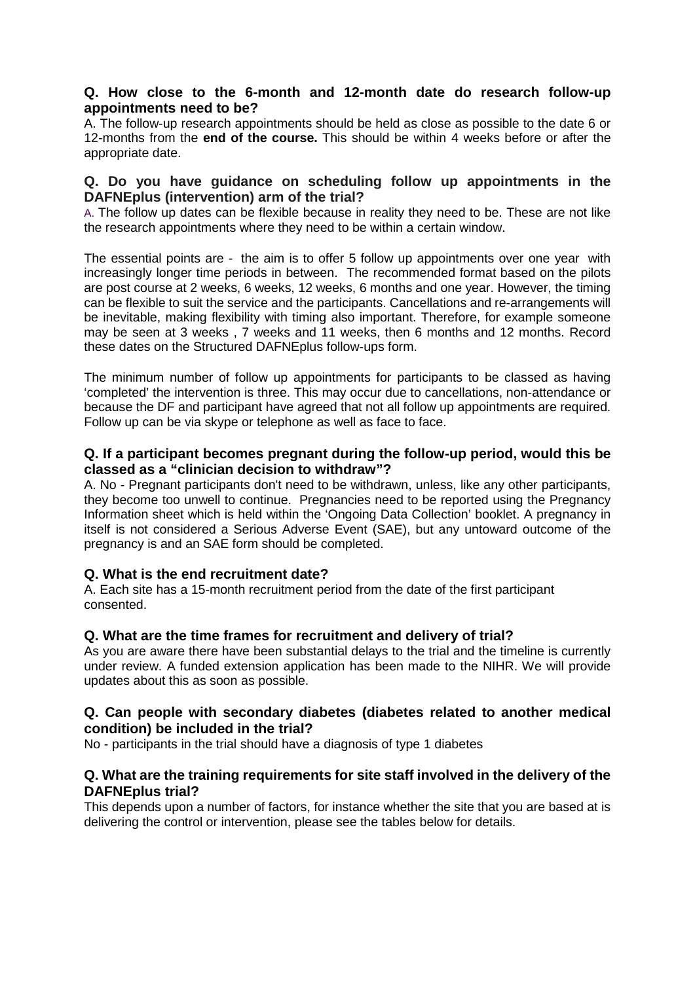## **Q. How close to the 6-month and 12-month date do research follow-up appointments need to be?**

A. The follow-up research appointments should be held as close as possible to the date 6 or 12-months from the **end of the course.** This should be within 4 weeks before or after the appropriate date.

#### **Q. Do you have guidance on scheduling follow up appointments in the DAFNEplus (intervention) arm of the trial?**

A. The follow up dates can be flexible because in reality they need to be. These are not like the research appointments where they need to be within a certain window.

The essential points are - the aim is to offer 5 follow up appointments over one year with increasingly longer time periods in between. The recommended format based on the pilots are post course at 2 weeks, 6 weeks, 12 weeks, 6 months and one year. However, the timing can be flexible to suit the service and the participants. Cancellations and re-arrangements will be inevitable, making flexibility with timing also important. Therefore, for example someone may be seen at 3 weeks , 7 weeks and 11 weeks, then 6 months and 12 months. Record these dates on the Structured DAFNEplus follow-ups form.

The minimum number of follow up appointments for participants to be classed as having 'completed' the intervention is three. This may occur due to cancellations, non-attendance or because the DF and participant have agreed that not all follow up appointments are required. Follow up can be via skype or telephone as well as face to face.

## **Q. If a participant becomes pregnant during the follow-up period, would this be classed as a "clinician decision to withdraw"?**

A. No - Pregnant participants don't need to be withdrawn, unless, like any other participants, they become too unwell to continue. Pregnancies need to be reported using the Pregnancy Information sheet which is held within the 'Ongoing Data Collection' booklet. A pregnancy in itself is not considered a Serious Adverse Event (SAE), but any untoward outcome of the pregnancy is and an SAE form should be completed.

#### **Q. What is the end recruitment date?**

A. Each site has a 15-month recruitment period from the date of the first participant consented.

#### **Q. What are the time frames for recruitment and delivery of trial?**

As you are aware there have been substantial delays to the trial and the timeline is currently under review. A funded extension application has been made to the NIHR. We will provide updates about this as soon as possible.

## **Q. Can people with secondary diabetes (diabetes related to another medical condition) be included in the trial?**

No - participants in the trial should have a diagnosis of type 1 diabetes

## **Q. What are the training requirements for site staff involved in the delivery of the DAFNEplus trial?**

This depends upon a number of factors, for instance whether the site that you are based at is delivering the control or intervention, please see the tables below for details.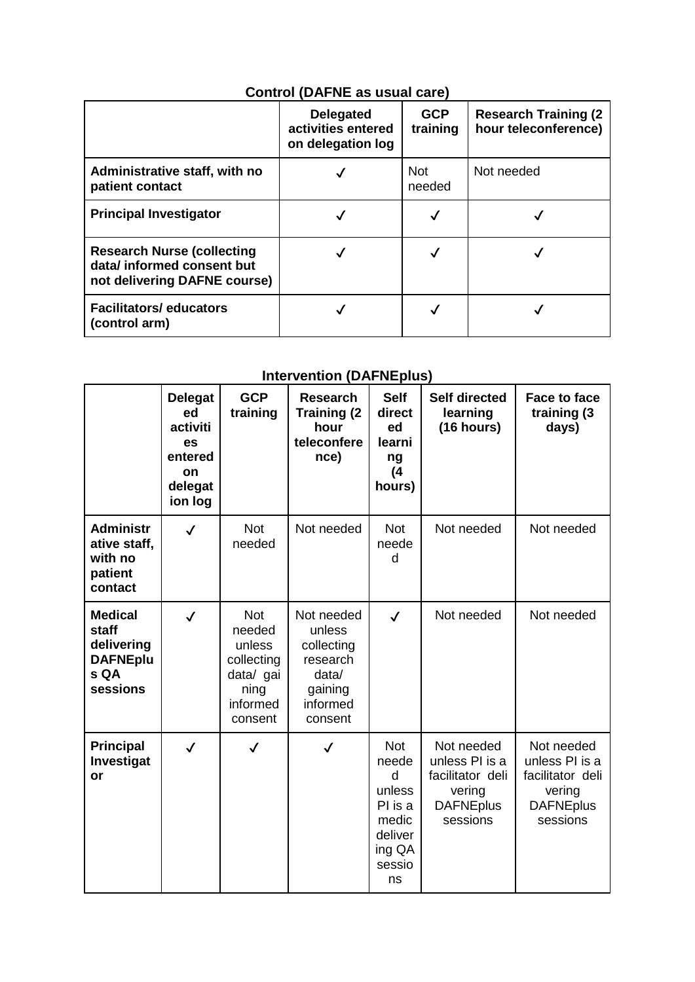# **Control (DAFNE as usual care)**

|                                                                                                 | <b>Delegated</b><br>activities entered<br>on delegation log | <b>GCP</b><br>training | <b>Research Training (2)</b><br>hour teleconference) |
|-------------------------------------------------------------------------------------------------|-------------------------------------------------------------|------------------------|------------------------------------------------------|
| Administrative staff, with no<br>patient contact                                                |                                                             | <b>Not</b><br>needed   | Not needed                                           |
| <b>Principal Investigator</b>                                                                   |                                                             |                        |                                                      |
| <b>Research Nurse (collecting</b><br>data/ informed consent but<br>not delivering DAFNE course) |                                                             |                        |                                                      |
| <b>Facilitators/ educators</b><br>(control arm)                                                 |                                                             |                        |                                                      |

## **Intervention (DAFNEplus)**

|                                                                              | <b>Delegat</b><br>ed<br>activiti<br>es<br>entered<br>on<br>delegat<br>ion log | <b>GCP</b><br>training                                                                   | <b>Research</b><br><b>Training (2)</b><br>hour<br>teleconfere<br>nce)                     | <b>Self</b><br>direct<br>ed<br>learni<br>ng<br>(4)<br>hours)                                | <b>Self directed</b><br>learning<br>(16 hours)                                             | <b>Face to face</b><br>training (3<br>days)                                                |
|------------------------------------------------------------------------------|-------------------------------------------------------------------------------|------------------------------------------------------------------------------------------|-------------------------------------------------------------------------------------------|---------------------------------------------------------------------------------------------|--------------------------------------------------------------------------------------------|--------------------------------------------------------------------------------------------|
| <b>Administr</b><br>ative staff,<br>with no<br>patient<br>contact            | $\checkmark$                                                                  | <b>Not</b><br>needed                                                                     | Not needed                                                                                | <b>Not</b><br>neede<br>d                                                                    | Not needed                                                                                 | Not needed                                                                                 |
| <b>Medical</b><br>staff<br>delivering<br><b>DAFNEplu</b><br>s QA<br>sessions | $\checkmark$                                                                  | <b>Not</b><br>needed<br>unless<br>collecting<br>data/ gai<br>ning<br>informed<br>consent | Not needed<br>unless<br>collecting<br>research<br>data/<br>gaining<br>informed<br>consent | $\checkmark$                                                                                | Not needed                                                                                 | Not needed                                                                                 |
| <b>Principal</b><br>Investigat<br>or                                         | $\checkmark$                                                                  | $\checkmark$                                                                             | $\checkmark$                                                                              | <b>Not</b><br>neede<br>d<br>unless<br>PI is a<br>medic<br>deliver<br>ing QA<br>sessio<br>ns | Not needed<br>unless PI is a<br>facilitator deli<br>vering<br><b>DAFNEplus</b><br>sessions | Not needed<br>unless PI is a<br>facilitator deli<br>vering<br><b>DAFNEplus</b><br>sessions |